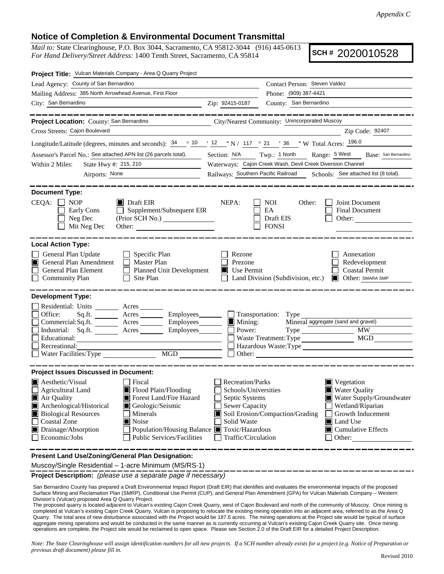## **Notice of Completion & Environmental Document Transmittal**

*Mail to:* State Clearinghouse, P.O. Box 3044, Sacramento, CA 95812-3044 (916) 445-0613 *For Hand Delivery/Street Address:* 1400 Tenth Street, Sacramento, CA 95814

**SCH #** 2020010528

| Project Title: Vulcan Materials Company - Area Q Quarry Project                                                                                                                                                                                                                                                                                                                                                        |                                                                                                                    |                                                  |                                                                                                                                                                           |  |  |
|------------------------------------------------------------------------------------------------------------------------------------------------------------------------------------------------------------------------------------------------------------------------------------------------------------------------------------------------------------------------------------------------------------------------|--------------------------------------------------------------------------------------------------------------------|--------------------------------------------------|---------------------------------------------------------------------------------------------------------------------------------------------------------------------------|--|--|
| Lead Agency: County of San Bernardino                                                                                                                                                                                                                                                                                                                                                                                  | Contact Person: Steven Valdez                                                                                      |                                                  |                                                                                                                                                                           |  |  |
| Mailing Address: 385 North Arrowhead Avenue, First Floor                                                                                                                                                                                                                                                                                                                                                               |                                                                                                                    |                                                  | Phone: (909) 387-4421                                                                                                                                                     |  |  |
| City: San Bernardino<br><u> 1980 - Johann Barbara, martin a</u>                                                                                                                                                                                                                                                                                                                                                        | Zip: 92415-0187                                                                                                    | County: San Bernardino                           |                                                                                                                                                                           |  |  |
| _________                                                                                                                                                                                                                                                                                                                                                                                                              |                                                                                                                    |                                                  | __________                                                                                                                                                                |  |  |
| Project Location: County: San Bernardino<br><u> 1980 - Johann Barbara, martxa a</u>                                                                                                                                                                                                                                                                                                                                    |                                                                                                                    | City/Nearest Community: Unincorporated Muscoy    |                                                                                                                                                                           |  |  |
| Cross Streets: Cajon Boulevard                                                                                                                                                                                                                                                                                                                                                                                         |                                                                                                                    |                                                  | Zip Code: 92407                                                                                                                                                           |  |  |
| Longitude/Latitude (degrees, minutes and seconds): $\frac{34}{10}$ $\frac{10}{12}$ $\frac{12}{12}$ $\frac{117}{117}$ $\frac{117}{117}$ $\frac{117}{117}$ $\frac{117}{117}$ $\frac{117}{117}$ $\frac{117}{117}$ $\frac{117}{117}$ $\frac{117}{117}$ $\frac{117}{117}$ $\frac{117}{1$                                                                                                                                    |                                                                                                                    |                                                  |                                                                                                                                                                           |  |  |
| Assessor's Parcel No.: See attached APN list (26 parcels total).                                                                                                                                                                                                                                                                                                                                                       | Section: N/A Twp.: 1 North                                                                                         |                                                  | Range: 5 West Base: San Bernardino                                                                                                                                        |  |  |
| State Hwy #: 215, 210<br>Within 2 Miles:                                                                                                                                                                                                                                                                                                                                                                               | Waterways: Cajon Creek Wash, Devil Creek Diversion Channel                                                         |                                                  |                                                                                                                                                                           |  |  |
| Airports: None                                                                                                                                                                                                                                                                                                                                                                                                         | Railways: Southern Pacific Railroad Schools: See attached list (8 total).                                          |                                                  |                                                                                                                                                                           |  |  |
| <b>Document Type:</b><br>$CEQA: \Box$<br><b>NOP</b><br>$\blacksquare$ Draft EIR<br>Supplement/Subsequent EIR<br>Early Cons<br>$\perp$<br>Neg Dec<br>Mit Neg Dec<br>Other:                                                                                                                                                                                                                                              | NEPA:                                                                                                              | NOI<br>Other:<br>EA<br>Draft EIS<br><b>FONSI</b> | Joint Document<br>Final Document<br>Other:                                                                                                                                |  |  |
| <b>Local Action Type:</b><br>General Plan Update<br>$\Box$ Specific Plan<br>General Plan Amendment<br>$\Box$<br>Master Plan<br>IШ<br>General Plan Element<br><b>Planned Unit Development</b><br>$\Box$<br><b>Community Plan</b><br>Site Plan<br>$\Box$                                                                                                                                                                 | Rezone<br>Prezone<br>Use Permit                                                                                    |                                                  | Annexation<br>Redevelopment<br><b>Coastal Permit</b><br>Land Division (Subdivision, etc.) <b>DE</b> Other: SMARA SMP                                                      |  |  |
| <b>Development Type:</b><br>Residential: Units ________ Acres ______<br>Sq.ft. ________ Acres _________ Employees _______ __ Transportation: Type<br>Office:<br>Acres __________ Employees________<br>Commercial:Sq.ft.<br>Industrial: Sq.ft. _______ Acres<br>Employees<br>Educational:<br>Recreational:<br>$\begin{tabular}{ c c } \hline \text{MGD} & \text{---} \\ \hline \end{tabular}$<br>Water Facilities: Type | $\blacksquare$ Mining:<br>Power:                                                                                   | Waste Treatment: Type<br>Hazardous Waste: Type   | Mineral aggregate (sand and gravel)<br>MW -<br>MGD                                                                                                                        |  |  |
| <b>Project Issues Discussed in Document:</b>                                                                                                                                                                                                                                                                                                                                                                           |                                                                                                                    |                                                  |                                                                                                                                                                           |  |  |
| <b>Aesthetic/Visual</b><br>Fiscal<br>Flood Plain/Flooding<br><b>Agricultural Land</b><br>Forest Land/Fire Hazard<br>Air Quality<br>Archeological/Historical<br>Geologic/Seismic<br><b>Biological Resources</b><br>Minerals<br>Noise<br>Coastal Zone<br>Drainage/Absorption<br>Population/Housing Balance ■ Toxic/Hazardous<br>Economic/Jobs<br>Public Services/Facilities                                              | Recreation/Parks<br>Schools/Universities<br>Septic Systems<br>Sewer Capacity<br>Solid Waste<br>Traffic/Circulation | Soil Erosion/Compaction/Grading                  | $\blacksquare$ Vegetation<br><b>Water Quality</b><br>Water Supply/Groundwater<br>Wetland/Riparian<br>Growth Inducement<br>Land Use<br>$\Box$ Cumulative Effects<br>Other: |  |  |
| Present Land Use/Zoning/General Plan Designation:                                                                                                                                                                                                                                                                                                                                                                      |                                                                                                                    |                                                  |                                                                                                                                                                           |  |  |

Muscoy/Single Residential – 1‐acre Minimum (MS/RS‐1)

**Project Description:** *(please use a separate page if necessary)*

 San Bernardino County has prepared a Draft Environmental Impact Report (Draft EIR) that identifies and evaluates the environmental impacts of the proposed Surface Mining and Reclamation Plan (SMRP), Conditional Use Permit (CUP), and General Plan Amendment (GPA) for Vulcan Materials Company – Western Division's (Vulcan) proposed Area Q Quarry Project.

The proposed quarry is located adjacent to Vulcan's existing Cajon Creek Quarry, west of Cajon Boulevard and north of the community of Muscoy. Once mining is completed at Vulcan's existing Cajon Creek Quarry, Vulcan is proposing to relocate the existing mining operation into an adjacent area, referred to as the Area Q Quarry. The total area of new disturbance associated with the Project would be 187.6 acres. The mining operations at the Project site would be typical of surface aggregate mining operations and would be conducted in the same manner as is currently occurring at Vulcan's existing Cajon Creek Quarry site. Once mining operations are complete, the Project site would be reclaimed to open space. Please see Section 2.0 of the Draft EIR for a detailed Project Description.

*Note: The State Clearinghouse will assign identification numbers for all new projects. If a SCH number already exists for a project (e.g. Notice of Preparation or previous draft document) please fill in.*